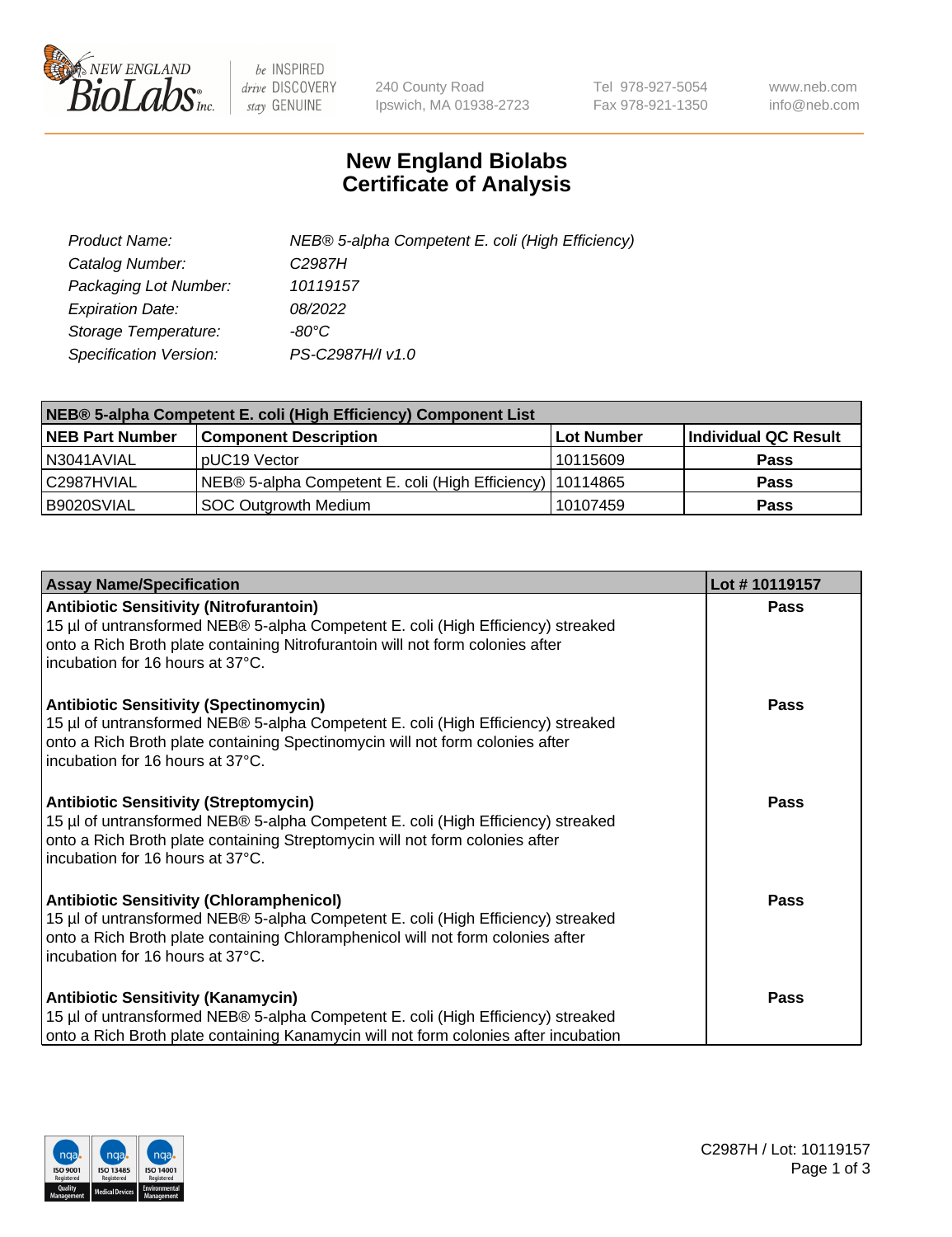

 $be$  INSPIRED drive DISCOVERY stay GENUINE

240 County Road Ipswich, MA 01938-2723 Tel 978-927-5054 Fax 978-921-1350 www.neb.com info@neb.com

## **New England Biolabs Certificate of Analysis**

| Product Name:                 | NEB® 5-alpha Competent E. coli (High Efficiency) |
|-------------------------------|--------------------------------------------------|
| Catalog Number:               | C <sub>2987</sub> H                              |
| Packaging Lot Number:         | 10119157                                         |
| <b>Expiration Date:</b>       | 08/2022                                          |
| Storage Temperature:          | -80°C                                            |
| <b>Specification Version:</b> | PS-C2987H/I v1.0                                 |

| NEB® 5-alpha Competent E. coli (High Efficiency) Component List |                                                             |            |                      |  |
|-----------------------------------------------------------------|-------------------------------------------------------------|------------|----------------------|--|
| <b>NEB Part Number</b>                                          | <b>Component Description</b>                                | Lot Number | Individual QC Result |  |
| N3041AVIAL                                                      | pUC19 Vector                                                | 10115609   | <b>Pass</b>          |  |
| C2987HVIAL                                                      | NEB® 5-alpha Competent E. coli (High Efficiency)   10114865 |            | <b>Pass</b>          |  |
| B9020SVIAL                                                      | <b>SOC Outgrowth Medium</b>                                 | 10107459   | <b>Pass</b>          |  |

| <b>Assay Name/Specification</b>                                                                                                                                                                                                                            | Lot #10119157 |
|------------------------------------------------------------------------------------------------------------------------------------------------------------------------------------------------------------------------------------------------------------|---------------|
| <b>Antibiotic Sensitivity (Nitrofurantoin)</b><br>15 µl of untransformed NEB® 5-alpha Competent E. coli (High Efficiency) streaked<br>onto a Rich Broth plate containing Nitrofurantoin will not form colonies after<br>incubation for 16 hours at 37°C.   | <b>Pass</b>   |
| <b>Antibiotic Sensitivity (Spectinomycin)</b><br>15 µl of untransformed NEB® 5-alpha Competent E. coli (High Efficiency) streaked<br>onto a Rich Broth plate containing Spectinomycin will not form colonies after<br>incubation for 16 hours at 37°C.     | <b>Pass</b>   |
| <b>Antibiotic Sensitivity (Streptomycin)</b><br>15 µl of untransformed NEB® 5-alpha Competent E. coli (High Efficiency) streaked<br>onto a Rich Broth plate containing Streptomycin will not form colonies after<br>incubation for 16 hours at 37°C.       | Pass          |
| <b>Antibiotic Sensitivity (Chloramphenicol)</b><br>15 µl of untransformed NEB® 5-alpha Competent E. coli (High Efficiency) streaked<br>onto a Rich Broth plate containing Chloramphenicol will not form colonies after<br>incubation for 16 hours at 37°C. | Pass          |
| <b>Antibiotic Sensitivity (Kanamycin)</b><br>15 µl of untransformed NEB® 5-alpha Competent E. coli (High Efficiency) streaked<br>onto a Rich Broth plate containing Kanamycin will not form colonies after incubation                                      | Pass          |

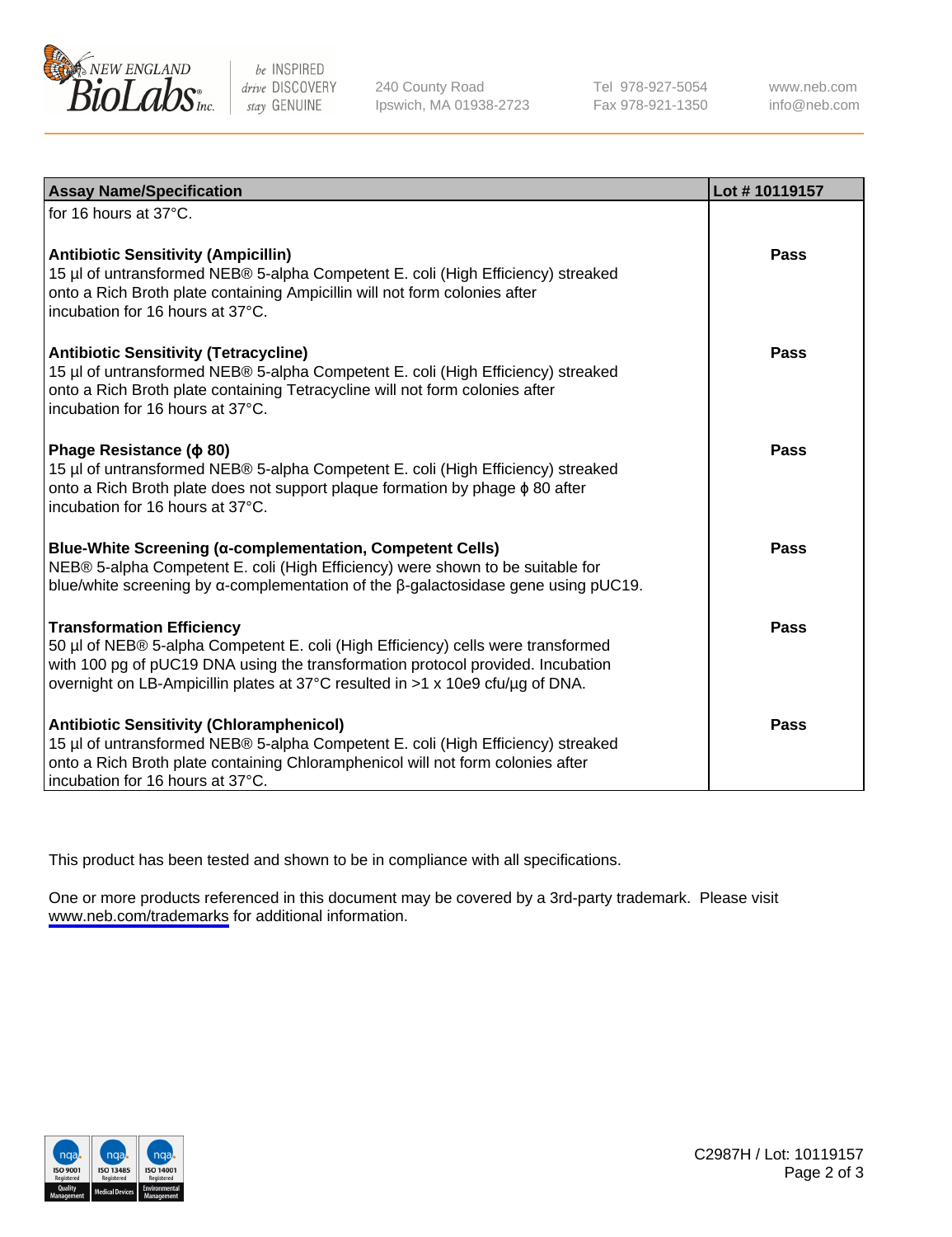

be INSPIRED drive DISCOVERY stay GENUINE

240 County Road Ipswich, MA 01938-2723 Tel 978-927-5054 Fax 978-921-1350

www.neb.com info@neb.com

| <b>Assay Name/Specification</b>                                                                                                                                                                                                                                                           | Lot #10119157 |
|-------------------------------------------------------------------------------------------------------------------------------------------------------------------------------------------------------------------------------------------------------------------------------------------|---------------|
| for 16 hours at 37°C.                                                                                                                                                                                                                                                                     |               |
| <b>Antibiotic Sensitivity (Ampicillin)</b><br>15 µl of untransformed NEB® 5-alpha Competent E. coli (High Efficiency) streaked<br>onto a Rich Broth plate containing Ampicillin will not form colonies after<br>incubation for 16 hours at 37°C.                                          | Pass          |
| <b>Antibiotic Sensitivity (Tetracycline)</b><br>15 µl of untransformed NEB® 5-alpha Competent E. coli (High Efficiency) streaked<br>onto a Rich Broth plate containing Tetracycline will not form colonies after<br>incubation for 16 hours at 37°C.                                      | Pass          |
| Phage Resistance ( $\phi$ 80)<br>15 µl of untransformed NEB® 5-alpha Competent E. coli (High Efficiency) streaked<br>onto a Rich Broth plate does not support plaque formation by phage $\phi$ 80 after<br>incubation for 16 hours at 37°C.                                               | Pass          |
| Blue-White Screening (α-complementation, Competent Cells)<br>NEB® 5-alpha Competent E. coli (High Efficiency) were shown to be suitable for<br>blue/white screening by $\alpha$ -complementation of the $\beta$ -galactosidase gene using pUC19.                                          | Pass          |
| <b>Transformation Efficiency</b><br>50 µl of NEB® 5-alpha Competent E. coli (High Efficiency) cells were transformed<br>with 100 pg of pUC19 DNA using the transformation protocol provided. Incubation<br>overnight on LB-Ampicillin plates at 37°C resulted in >1 x 10e9 cfu/µg of DNA. | <b>Pass</b>   |
| <b>Antibiotic Sensitivity (Chloramphenicol)</b><br>15 µl of untransformed NEB® 5-alpha Competent E. coli (High Efficiency) streaked<br>onto a Rich Broth plate containing Chloramphenicol will not form colonies after<br>incubation for 16 hours at 37°C.                                | Pass          |

This product has been tested and shown to be in compliance with all specifications.

One or more products referenced in this document may be covered by a 3rd-party trademark. Please visit <www.neb.com/trademarks>for additional information.